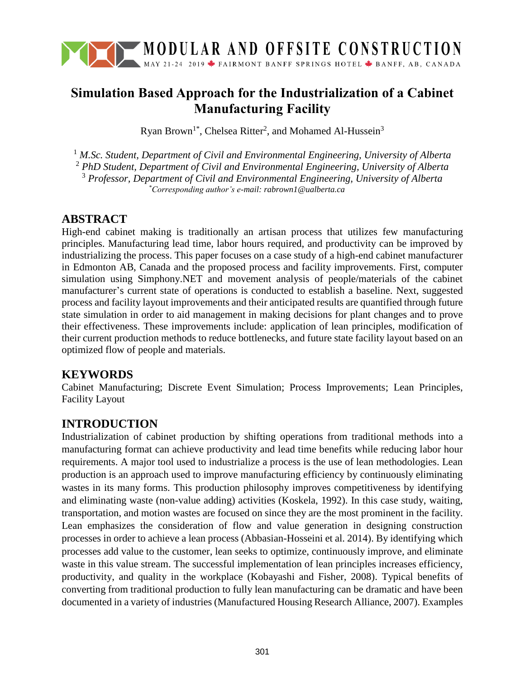

# **Simulation Based Approach for the Industrialization of a Cabinet Manufacturing Facility**

Ryan Brown<sup>1\*</sup>, Chelsea Ritter<sup>2</sup>, and Mohamed Al-Hussein<sup>3</sup>

 *M.Sc. Student, Department of Civil and Environmental Engineering, University of Alberta PhD Student, Department of Civil and Environmental Engineering, University of Alberta Professor, Department of Civil and Environmental Engineering, University of Alberta \*Corresponding author's e-mail: rabrown1@ualberta.ca*

### **ABSTRACT**

High-end cabinet making is traditionally an artisan process that utilizes few manufacturing principles. Manufacturing lead time, labor hours required, and productivity can be improved by industrializing the process. This paper focuses on a case study of a high-end cabinet manufacturer in Edmonton AB, Canada and the proposed process and facility improvements. First, computer simulation using Simphony.NET and movement analysis of people/materials of the cabinet manufacturer's current state of operations is conducted to establish a baseline. Next, suggested process and facility layout improvements and their anticipated results are quantified through future state simulation in order to aid management in making decisions for plant changes and to prove their effectiveness. These improvements include: application of lean principles, modification of their current production methods to reduce bottlenecks, and future state facility layout based on an optimized flow of people and materials.

### **KEYWORDS**

Cabinet Manufacturing; Discrete Event Simulation; Process Improvements; Lean Principles, Facility Layout

### **INTRODUCTION**

Industrialization of cabinet production by shifting operations from traditional methods into a manufacturing format can achieve productivity and lead time benefits while reducing labor hour requirements. A major tool used to industrialize a process is the use of lean methodologies. Lean production is an approach used to improve manufacturing efficiency by continuously eliminating wastes in its many forms. This production philosophy improves competitiveness by identifying and eliminating waste (non-value adding) activities (Koskela, 1992). In this case study, waiting, transportation, and motion wastes are focused on since they are the most prominent in the facility. Lean emphasizes the consideration of flow and value generation in designing construction processes in order to achieve a lean process (Abbasian-Hosseini et al. 2014). By identifying which processes add value to the customer, lean seeks to optimize, continuously improve, and eliminate waste in this value stream. The successful implementation of lean principles increases efficiency, productivity, and quality in the workplace (Kobayashi and Fisher, 2008). Typical benefits of converting from traditional production to fully lean manufacturing can be dramatic and have been documented in a variety of industries (Manufactured Housing Research Alliance, 2007). Examples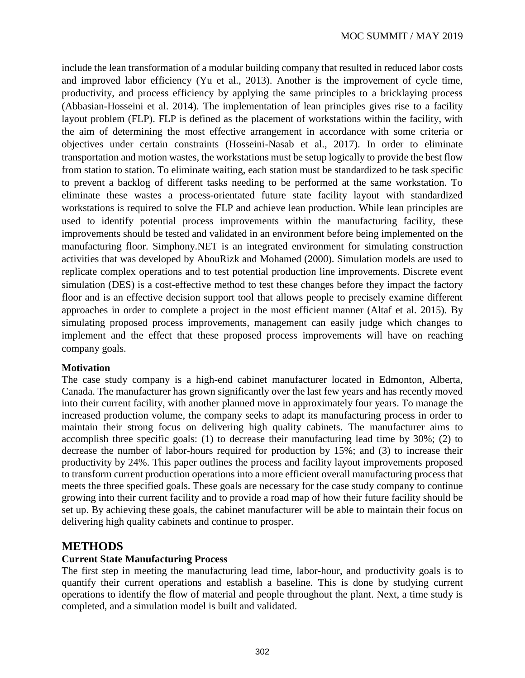include the lean transformation of a modular building company that resulted in reduced labor costs and improved labor efficiency (Yu et al., 2013). Another is the improvement of cycle time, productivity, and process efficiency by applying the same principles to a bricklaying process (Abbasian-Hosseini et al. 2014). The implementation of lean principles gives rise to a facility layout problem (FLP). FLP is defined as the placement of workstations within the facility, with the aim of determining the most effective arrangement in accordance with some criteria or objectives under certain constraints (Hosseini-Nasab et al., 2017). In order to eliminate transportation and motion wastes, the workstations must be setup logically to provide the best flow from station to station. To eliminate waiting, each station must be standardized to be task specific to prevent a backlog of different tasks needing to be performed at the same workstation. To eliminate these wastes a process-orientated future state facility layout with standardized workstations is required to solve the FLP and achieve lean production. While lean principles are used to identify potential process improvements within the manufacturing facility, these improvements should be tested and validated in an environment before being implemented on the manufacturing floor. Simphony.NET is an integrated environment for simulating construction activities that was developed by AbouRizk and Mohamed (2000). Simulation models are used to replicate complex operations and to test potential production line improvements. Discrete event simulation (DES) is a cost-effective method to test these changes before they impact the factory floor and is an effective decision support tool that allows people to precisely examine different approaches in order to complete a project in the most efficient manner (Altaf et al. 2015). By simulating proposed process improvements, management can easily judge which changes to implement and the effect that these proposed process improvements will have on reaching company goals.

#### **Motivation**

The case study company is a high-end cabinet manufacturer located in Edmonton, Alberta, Canada. The manufacturer has grown significantly over the last few years and has recently moved into their current facility, with another planned move in approximately four years. To manage the increased production volume, the company seeks to adapt its manufacturing process in order to maintain their strong focus on delivering high quality cabinets. The manufacturer aims to accomplish three specific goals: (1) to decrease their manufacturing lead time by 30%; (2) to decrease the number of labor-hours required for production by 15%; and (3) to increase their productivity by 24%. This paper outlines the process and facility layout improvements proposed to transform current production operations into a more efficient overall manufacturing process that meets the three specified goals. These goals are necessary for the case study company to continue growing into their current facility and to provide a road map of how their future facility should be set up. By achieving these goals, the cabinet manufacturer will be able to maintain their focus on delivering high quality cabinets and continue to prosper.

#### **METHODS**

#### **Current State Manufacturing Process**

The first step in meeting the manufacturing lead time, labor-hour, and productivity goals is to quantify their current operations and establish a baseline. This is done by studying current operations to identify the flow of material and people throughout the plant. Next, a time study is completed, and a simulation model is built and validated.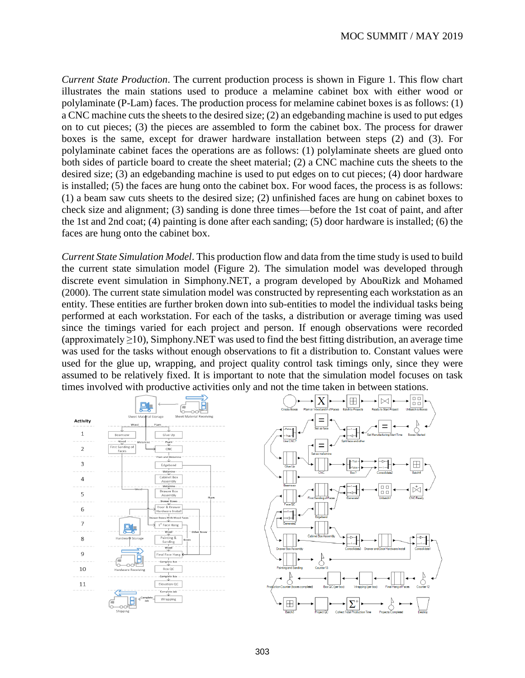*Current State Production*. The current production process is shown in [Figure 1.](#page--1-0) This flow chart illustrates the main stations used to produce a melamine cabinet box with either wood or polylaminate (P-Lam) faces. The production process for melamine cabinet boxes is as follows: (1) a CNC machine cuts the sheets to the desired size; (2) an edgebanding machine is used to put edges on to cut pieces; (3) the pieces are assembled to form the cabinet box. The process for drawer boxes is the same, except for drawer hardware installation between steps (2) and (3). For polylaminate cabinet faces the operations are as follows: (1) polylaminate sheets are glued onto both sides of particle board to create the sheet material; (2) a CNC machine cuts the sheets to the desired size; (3) an edgebanding machine is used to put edges on to cut pieces; (4) door hardware is installed; (5) the faces are hung onto the cabinet box. For wood faces, the process is as follows: (1) a beam saw cuts sheets to the desired size; (2) unfinished faces are hung on cabinet boxes to check size and alignment; (3) sanding is done three times—before the 1st coat of paint, and after the 1st and 2nd coat; (4) painting is done after each sanding; (5) door hardware is installed; (6) the faces are hung onto the cabinet box.

*Current State Simulation Model*. This production flow and data from the time study is used to build the current state simulation model [\(Figure 2\)](#page--1-1). The simulation model was developed through discrete event simulation in Simphony.NET, a program developed by AbouRizk and Mohamed (2000). The current state simulation model was constructed by representing each workstation as an entity. These entities are further broken down into sub-entities to model the individual tasks being performed at each workstation. For each of the tasks, a distribution or average timing was used since the timings varied for each project and person. If enough observations were recorded (approximately  $\geq$ 10), Simphony.NET was used to find the best fitting distribution, an average time was used for the tasks without enough observations to fit a distribution to. Constant values were used for the glue up, wrapping, and project quality control task timings only, since they were assumed to be relatively fixed. It is important to note that the simulation model focuses on task times involved with productive activities only and not the time taken in between stations.

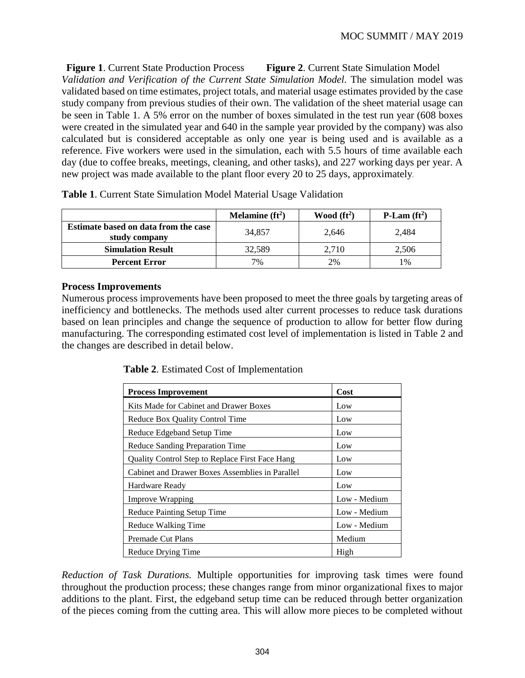<span id="page-3-2"></span>**Figure 1**. Current State Production Process **Figure 2**. Current State Simulation Model *Validation and Verification of the Current State Simulation Model.* The simulation model was validated based on time estimates, project totals, and material usage estimates provided by the case study company from previous studies of their own. The validation of the sheet material usage can be seen in [Table 1.](#page-3-0) A 5% error on the number of boxes simulated in the test run year (608 boxes were created in the simulated year and 640 in the sample year provided by the company) was also calculated but is considered acceptable as only one year is being used and is available as a reference. Five workers were used in the simulation, each with 5.5 hours of time available each day (due to coffee breaks, meetings, cleaning, and other tasks), and 227 working days per year. A new project was made available to the plant floor every 20 to 25 days, approximately*.*

|                                                              | Melamine $(ft^2)$ | Wood $(ft^2)$ | P-Lam $(ft^2)$ |
|--------------------------------------------------------------|-------------------|---------------|----------------|
| <b>Estimate based on data from the case</b><br>study company | 34.857            | 2,646         | 2.484          |
| <b>Simulation Result</b>                                     | 32,589            | 2.710         | 2,506          |
| <b>Percent Error</b>                                         | 7%                | 2%            | 1%             |

<span id="page-3-0"></span>**Table 1**. Current State Simulation Model Material Usage Validation

#### **Process Improvements**

Numerous process improvements have been proposed to meet the three goals by targeting areas of inefficiency and bottlenecks. The methods used alter current processes to reduce task durations based on lean principles and change the sequence of production to allow for better flow during manufacturing. The corresponding estimated cost level of implementation is listed in [Table 2](#page-3-1) and the changes are described in detail below.

<span id="page-3-1"></span>**Table 2**. Estimated Cost of Implementation

| <b>Process Improvement</b>                      | Cost         |  |  |
|-------------------------------------------------|--------------|--|--|
| Kits Made for Cabinet and Drawer Boxes          | Low          |  |  |
| Reduce Box Quality Control Time                 | Low          |  |  |
| Reduce Edgeband Setup Time                      | Low          |  |  |
| Reduce Sanding Preparation Time                 | Low          |  |  |
| Quality Control Step to Replace First Face Hang | Low          |  |  |
| Cabinet and Drawer Boxes Assemblies in Parallel | Low          |  |  |
| Hardware Ready                                  | Low          |  |  |
| <b>Improve Wrapping</b>                         | Low - Medium |  |  |
| Reduce Painting Setup Time                      | Low - Medium |  |  |
| Reduce Walking Time                             | Low - Medium |  |  |
| Premade Cut Plans                               | Medium       |  |  |
| Reduce Drying Time                              | High         |  |  |

*Reduction of Task Durations.* Multiple opportunities for improving task times were found throughout the production process; these changes range from minor organizational fixes to major additions to the plant. First, the edgeband setup time can be reduced through better organization of the pieces coming from the cutting area. This will allow more pieces to be completed without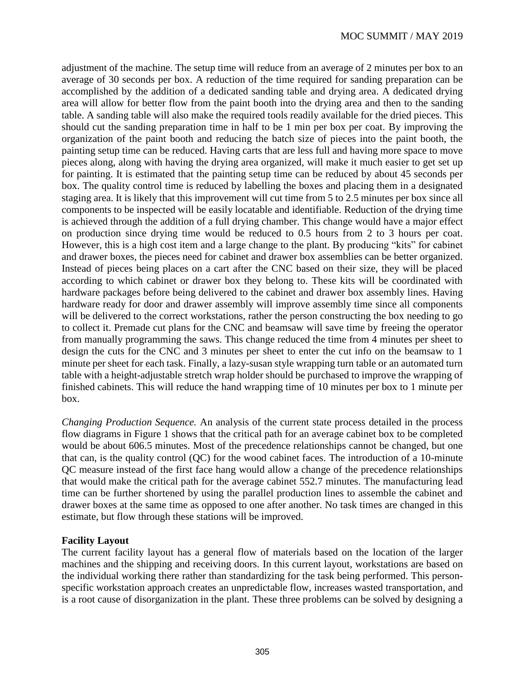adjustment of the machine. The setup time will reduce from an average of 2 minutes per box to an average of 30 seconds per box. A reduction of the time required for sanding preparation can be accomplished by the addition of a dedicated sanding table and drying area. A dedicated drying area will allow for better flow from the paint booth into the drying area and then to the sanding table. A sanding table will also make the required tools readily available for the dried pieces. This should cut the sanding preparation time in half to be 1 min per box per coat. By improving the organization of the paint booth and reducing the batch size of pieces into the paint booth, the painting setup time can be reduced. Having carts that are less full and having more space to move pieces along, along with having the drying area organized, will make it much easier to get set up for painting. It is estimated that the painting setup time can be reduced by about 45 seconds per box. The quality control time is reduced by labelling the boxes and placing them in a designated staging area. It is likely that this improvement will cut time from 5 to 2.5 minutes per box since all components to be inspected will be easily locatable and identifiable. Reduction of the drying time is achieved through the addition of a full drying chamber. This change would have a major effect on production since drying time would be reduced to 0.5 hours from 2 to 3 hours per coat. However, this is a high cost item and a large change to the plant. By producing "kits" for cabinet and drawer boxes, the pieces need for cabinet and drawer box assemblies can be better organized. Instead of pieces being places on a cart after the CNC based on their size, they will be placed according to which cabinet or drawer box they belong to. These kits will be coordinated with hardware packages before being delivered to the cabinet and drawer box assembly lines. Having hardware ready for door and drawer assembly will improve assembly time since all components will be delivered to the correct workstations, rather the person constructing the box needing to go to collect it. Premade cut plans for the CNC and beamsaw will save time by freeing the operator from manually programming the saws. This change reduced the time from 4 minutes per sheet to design the cuts for the CNC and 3 minutes per sheet to enter the cut info on the beamsaw to 1 minute per sheet for each task. Finally, a lazy-susan style wrapping turn table or an automated turn table with a height-adjustable stretch wrap holder should be purchased to improve the wrapping of finished cabinets. This will reduce the hand wrapping time of 10 minutes per box to 1 minute per box.

*Changing Production Sequence.* An analysis of the current state process detailed in the process flow diagrams in [Figure 1](#page-3-2) shows that the critical path for an average cabinet box to be completed would be about 606.5 minutes. Most of the precedence relationships cannot be changed, but one that can, is the quality control (QC) for the wood cabinet faces. The introduction of a 10-minute QC measure instead of the first face hang would allow a change of the precedence relationships that would make the critical path for the average cabinet 552.7 minutes. The manufacturing lead time can be further shortened by using the parallel production lines to assemble the cabinet and drawer boxes at the same time as opposed to one after another. No task times are changed in this estimate, but flow through these stations will be improved.

#### **Facility Layout**

The current facility layout has a general flow of materials based on the location of the larger machines and the shipping and receiving doors. In this current layout, workstations are based on the individual working there rather than standardizing for the task being performed. This personspecific workstation approach creates an unpredictable flow, increases wasted transportation, and is a root cause of disorganization in the plant. These three problems can be solved by designing a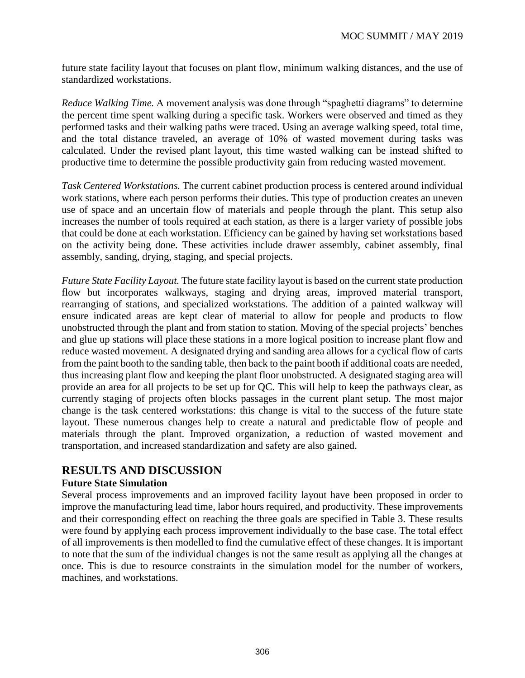future state facility layout that focuses on plant flow, minimum walking distances, and the use of standardized workstations.

*Reduce Walking Time.* A movement analysis was done through "spaghetti diagrams" to determine the percent time spent walking during a specific task. Workers were observed and timed as they performed tasks and their walking paths were traced. Using an average walking speed, total time, and the total distance traveled, an average of 10% of wasted movement during tasks was calculated. Under the revised plant layout, this time wasted walking can be instead shifted to productive time to determine the possible productivity gain from reducing wasted movement.

*Task Centered Workstations.* The current cabinet production process is centered around individual work stations, where each person performs their duties. This type of production creates an uneven use of space and an uncertain flow of materials and people through the plant. This setup also increases the number of tools required at each station, as there is a larger variety of possible jobs that could be done at each workstation. Efficiency can be gained by having set workstations based on the activity being done. These activities include drawer assembly, cabinet assembly, final assembly, sanding, drying, staging, and special projects.

*Future State Facility Layout.* The future state facility layout is based on the current state production flow but incorporates walkways, staging and drying areas, improved material transport, rearranging of stations, and specialized workstations. The addition of a painted walkway will ensure indicated areas are kept clear of material to allow for people and products to flow unobstructed through the plant and from station to station. Moving of the special projects' benches and glue up stations will place these stations in a more logical position to increase plant flow and reduce wasted movement. A designated drying and sanding area allows for a cyclical flow of carts from the paint booth to the sanding table, then back to the paint booth if additional coats are needed, thus increasing plant flow and keeping the plant floor unobstructed. A designated staging area will provide an area for all projects to be set up for QC. This will help to keep the pathways clear, as currently staging of projects often blocks passages in the current plant setup. The most major change is the task centered workstations: this change is vital to the success of the future state layout. These numerous changes help to create a natural and predictable flow of people and materials through the plant. Improved organization, a reduction of wasted movement and transportation, and increased standardization and safety are also gained.

### **RESULTS AND DISCUSSION**

#### **Future State Simulation**

Several process improvements and an improved facility layout have been proposed in order to improve the manufacturing lead time, labor hours required, and productivity. These improvements and their corresponding effect on reaching the three goals are specified in [Table 3.](#page--1-2) These results were found by applying each process improvement individually to the base case. The total effect of all improvements is then modelled to find the cumulative effect of these changes. It is important to note that the sum of the individual changes is not the same result as applying all the changes at once. This is due to resource constraints in the simulation model for the number of workers, machines, and workstations.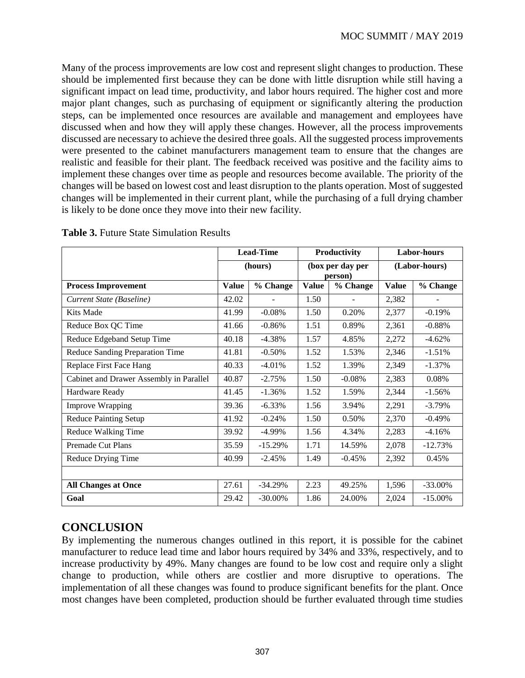Many of the process improvements are low cost and represent slight changes to production. These should be implemented first because they can be done with little disruption while still having a significant impact on lead time, productivity, and labor hours required. The higher cost and more major plant changes, such as purchasing of equipment or significantly altering the production steps, can be implemented once resources are available and management and employees have discussed when and how they will apply these changes. However, all the process improvements discussed are necessary to achieve the desired three goals. All the suggested process improvements were presented to the cabinet manufacturers management team to ensure that the changes are realistic and feasible for their plant. The feedback received was positive and the facility aims to implement these changes over time as people and resources become available. The priority of the changes will be based on lowest cost and least disruption to the plants operation. Most of suggested changes will be implemented in their current plant, while the purchasing of a full drying chamber is likely to be done once they move into their new facility.

|                                         |              | <b>Lead-Time</b> |                             | Productivity |               | <b>Labor-hours</b> |  |
|-----------------------------------------|--------------|------------------|-----------------------------|--------------|---------------|--------------------|--|
|                                         | (hours)      |                  | (box per day per<br>person) |              | (Labor-hours) |                    |  |
| <b>Process Improvement</b>              | <b>Value</b> | % Change         | <b>Value</b>                | % Change     | <b>Value</b>  | % Change           |  |
| Current State (Baseline)                | 42.02        |                  | 1.50                        |              | 2,382         |                    |  |
| Kits Made                               | 41.99        | $-0.08%$         | 1.50                        | 0.20%        | 2,377         | $-0.19%$           |  |
| Reduce Box QC Time                      | 41.66        | $-0.86%$         | 1.51                        | 0.89%        | 2,361         | $-0.88%$           |  |
| Reduce Edgeband Setup Time              | 40.18        | $-4.38%$         | 1.57                        | 4.85%        | 2,272         | $-4.62%$           |  |
| Reduce Sanding Preparation Time         | 41.81        | $-0.50%$         | 1.52                        | 1.53%        | 2,346         | $-1.51%$           |  |
| Replace First Face Hang                 | 40.33        | $-4.01%$         | 1.52                        | 1.39%        | 2,349         | $-1.37%$           |  |
| Cabinet and Drawer Assembly in Parallel | 40.87        | $-2.75%$         | 1.50                        | $-0.08%$     | 2,383         | 0.08%              |  |
| Hardware Ready                          | 41.45        | $-1.36%$         | 1.52                        | 1.59%        | 2,344         | $-1.56%$           |  |
| <b>Improve Wrapping</b>                 | 39.36        | $-6.33%$         | 1.56                        | 3.94%        | 2,291         | $-3.79%$           |  |
| <b>Reduce Painting Setup</b>            | 41.92        | $-0.24%$         | 1.50                        | 0.50%        | 2,370         | $-0.49%$           |  |
| Reduce Walking Time                     | 39.92        | $-4.99\%$        | 1.56                        | 4.34%        | 2,283         | $-4.16%$           |  |
| Premade Cut Plans                       | 35.59        | $-15.29%$        | 1.71                        | 14.59%       | 2,078         | $-12.73%$          |  |
| Reduce Drying Time                      | 40.99        | $-2.45%$         | 1.49                        | $-0.45%$     | 2,392         | 0.45%              |  |
|                                         |              |                  |                             |              |               |                    |  |
| <b>All Changes at Once</b>              | 27.61        | $-34.29%$        | 2.23                        | 49.25%       | 1,596         | $-33.00\%$         |  |
| Goal                                    | 29.42        | $-30.00\%$       | 1.86                        | 24.00%       | 2,024         | $-15.00\%$         |  |

**Table 3.** Future State Simulation Results

## **CONCLUSION**

By implementing the numerous changes outlined in this report, it is possible for the cabinet manufacturer to reduce lead time and labor hours required by 34% and 33%, respectively, and to increase productivity by 49%. Many changes are found to be low cost and require only a slight change to production, while others are costlier and more disruptive to operations. The implementation of all these changes was found to produce significant benefits for the plant. Once most changes have been completed, production should be further evaluated through time studies